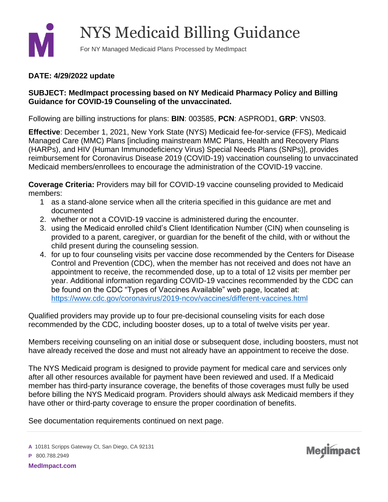

## **DATE: 4/29/2022 update**

## **SUBJECT: MedImpact processing based on NY Medicaid Pharmacy Policy and Billing Guidance for COVID-19 Counseling of the unvaccinated.**

Following are billing instructions for plans: **BIN**: 003585, **PCN**: ASPROD1, **GRP**: VNS03.

**Effective**: December 1, 2021, New York State (NYS) Medicaid fee-for-service (FFS), Medicaid Managed Care (MMC) Plans [including mainstream MMC Plans, Health and Recovery Plans (HARPs), and HIV (Human Immunodeficiency Virus) Special Needs Plans (SNPs)], provides reimbursement for Coronavirus Disease 2019 (COVID-19) vaccination counseling to unvaccinated Medicaid members/enrollees to encourage the administration of the COVID-19 vaccine.

**Coverage Criteria:** Providers may bill for COVID-19 vaccine counseling provided to Medicaid members:

- 1 as a stand-alone service when all the criteria specified in this guidance are met and documented
- 2. whether or not a COVID-19 vaccine is administered during the encounter.
- 3. using the Medicaid enrolled child's Client Identification Number (CIN) when counseling is provided to a parent, caregiver, or guardian for the benefit of the child, with or without the child present during the counseling session.
- 4. for up to four counseling visits per vaccine dose recommended by the Centers for Disease Control and Prevention (CDC), when the member has not received and does not have an appointment to receive, the recommended dose, up to a total of 12 visits per member per year. Additional information regarding COVID-19 vaccines recommended by the CDC can be found on the CDC "Types of Vaccines Available" web page, located at: <https://www.cdc.gov/coronavirus/2019-ncov/vaccines/different-vaccines.html>

Qualified providers may provide up to four pre-decisional counseling visits for each dose recommended by the CDC, including booster doses, up to a total of twelve visits per year.

Members receiving counseling on an initial dose or subsequent dose, including boosters, must not have already received the dose and must not already have an appointment to receive the dose.

The NYS Medicaid program is designed to provide payment for medical care and services only after all other resources available for payment have been reviewed and used. If a Medicaid member has third-party insurance coverage, the benefits of those coverages must fully be used before billing the NYS Medicaid program. Providers should always ask Medicaid members if they have other or third-party coverage to ensure the proper coordination of benefits.

**Medimpact** 

See documentation requirements continued on next page.

**A** 10181 Scripps Gateway Ct, San Diego, CA 92131

**P** 800.788.2949